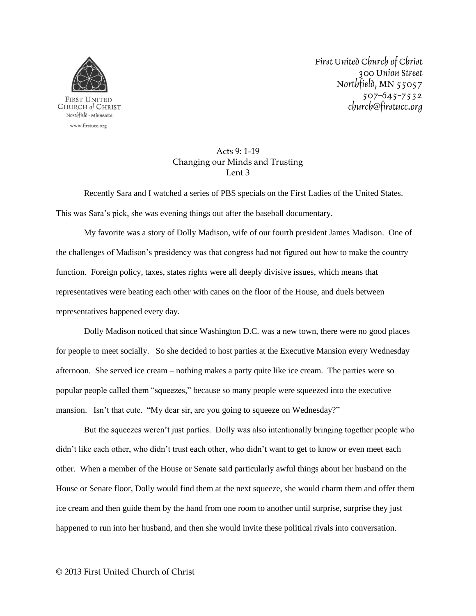

First United Church of Christ 300 Union Street Northfield, MN 55057 507-645-7532 church@firstucc.org

## Acts 9: 1-19 Changing our Minds and Trusting Lent 3

Recently Sara and I watched a series of PBS specials on the First Ladies of the United States. This was Sara's pick, she was evening things out after the baseball documentary.

My favorite was a story of Dolly Madison, wife of our fourth president James Madison. One of the challenges of Madison's presidency was that congress had not figured out how to make the country function. Foreign policy, taxes, states rights were all deeply divisive issues, which means that representatives were beating each other with canes on the floor of the House, and duels between representatives happened every day.

Dolly Madison noticed that since Washington D.C. was a new town, there were no good places for people to meet socially. So she decided to host parties at the Executive Mansion every Wednesday afternoon. She served ice cream – nothing makes a party quite like ice cream. The parties were so popular people called them "squeezes," because so many people were squeezed into the executive mansion. Isn't that cute. "My dear sir, are you going to squeeze on Wednesday?"

But the squeezes weren't just parties. Dolly was also intentionally bringing together people who didn't like each other, who didn't trust each other, who didn't want to get to know or even meet each other. When a member of the House or Senate said particularly awful things about her husband on the House or Senate floor, Dolly would find them at the next squeeze, she would charm them and offer them ice cream and then guide them by the hand from one room to another until surprise, surprise they just happened to run into her husband, and then she would invite these political rivals into conversation.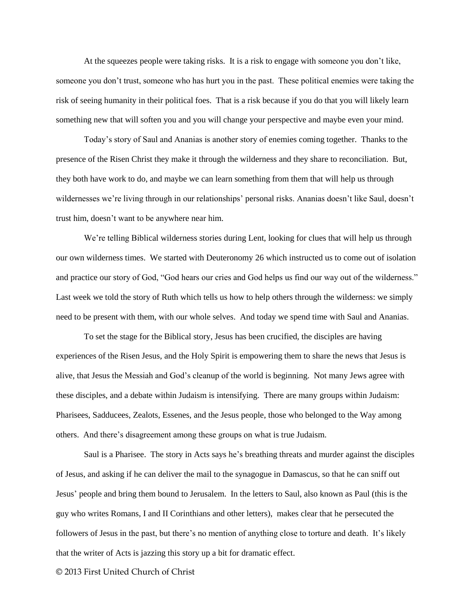At the squeezes people were taking risks. It is a risk to engage with someone you don't like, someone you don't trust, someone who has hurt you in the past. These political enemies were taking the risk of seeing humanity in their political foes. That is a risk because if you do that you will likely learn something new that will soften you and you will change your perspective and maybe even your mind.

Today's story of Saul and Ananias is another story of enemies coming together. Thanks to the presence of the Risen Christ they make it through the wilderness and they share to reconciliation. But, they both have work to do, and maybe we can learn something from them that will help us through wildernesses we're living through in our relationships' personal risks. Ananias doesn't like Saul, doesn't trust him, doesn't want to be anywhere near him.

We're telling Biblical wilderness stories during Lent, looking for clues that will help us through our own wilderness times. We started with Deuteronomy 26 which instructed us to come out of isolation and practice our story of God, "God hears our cries and God helps us find our way out of the wilderness." Last week we told the story of Ruth which tells us how to help others through the wilderness: we simply need to be present with them, with our whole selves. And today we spend time with Saul and Ananias.

To set the stage for the Biblical story, Jesus has been crucified, the disciples are having experiences of the Risen Jesus, and the Holy Spirit is empowering them to share the news that Jesus is alive, that Jesus the Messiah and God's cleanup of the world is beginning. Not many Jews agree with these disciples, and a debate within Judaism is intensifying. There are many groups within Judaism: Pharisees, Sadducees, Zealots, Essenes, and the Jesus people, those who belonged to the Way among others. And there's disagreement among these groups on what is true Judaism.

Saul is a Pharisee. The story in Acts says he's breathing threats and murder against the disciples of Jesus, and asking if he can deliver the mail to the synagogue in Damascus, so that he can sniff out Jesus' people and bring them bound to Jerusalem. In the letters to Saul, also known as Paul (this is the guy who writes Romans, I and II Corinthians and other letters), makes clear that he persecuted the followers of Jesus in the past, but there's no mention of anything close to torture and death. It's likely that the writer of Acts is jazzing this story up a bit for dramatic effect.

© 2013 First United Church of Christ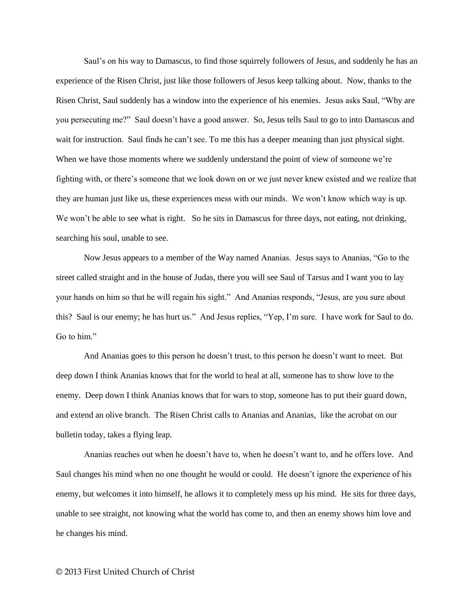Saul's on his way to Damascus, to find those squirrely followers of Jesus, and suddenly he has an experience of the Risen Christ, just like those followers of Jesus keep talking about. Now, thanks to the Risen Christ, Saul suddenly has a window into the experience of his enemies. Jesus asks Saul, "Why are you persecuting me?" Saul doesn't have a good answer. So, Jesus tells Saul to go to into Damascus and wait for instruction. Saul finds he can't see. To me this has a deeper meaning than just physical sight. When we have those moments where we suddenly understand the point of view of someone we're fighting with, or there's someone that we look down on or we just never knew existed and we realize that they are human just like us, these experiences mess with our minds. We won't know which way is up. We won't be able to see what is right. So he sits in Damascus for three days, not eating, not drinking, searching his soul, unable to see.

Now Jesus appears to a member of the Way named Ananias. Jesus says to Ananias, "Go to the street called straight and in the house of Judas, there you will see Saul of Tarsus and I want you to lay your hands on him so that he will regain his sight." And Ananias responds, "Jesus, are you sure about this? Saul is our enemy; he has hurt us." And Jesus replies, "Yep, I'm sure. I have work for Saul to do. Go to him."

And Ananias goes to this person he doesn't trust, to this person he doesn't want to meet. But deep down I think Ananias knows that for the world to heal at all, someone has to show love to the enemy. Deep down I think Ananias knows that for wars to stop, someone has to put their guard down, and extend an olive branch. The Risen Christ calls to Ananias and Ananias, like the acrobat on our bulletin today, takes a flying leap.

Ananias reaches out when he doesn't have to, when he doesn't want to, and he offers love. And Saul changes his mind when no one thought he would or could. He doesn't ignore the experience of his enemy, but welcomes it into himself, he allows it to completely mess up his mind. He sits for three days, unable to see straight, not knowing what the world has come to, and then an enemy shows him love and he changes his mind.